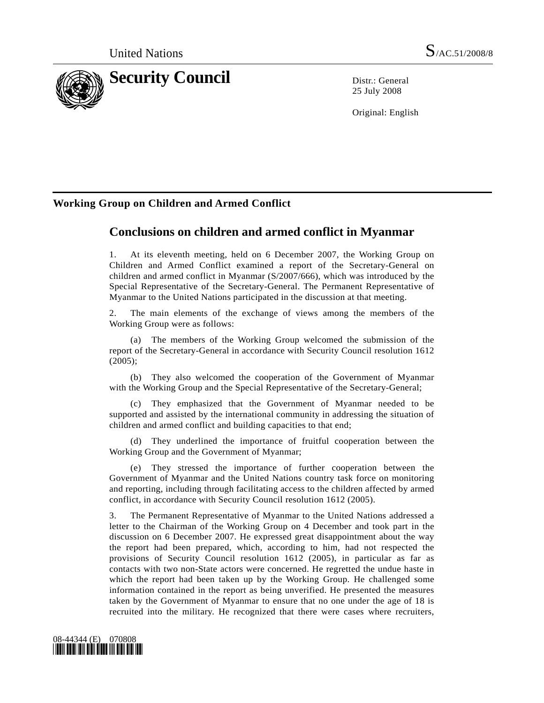

25 July 2008

Original: English

## **Working Group on Children and Armed Conflict**

# **Conclusions on children and armed conflict in Myanmar**

1. At its eleventh meeting, held on 6 December 2007, the Working Group on Children and Armed Conflict examined a report of the Secretary-General on children and armed conflict in Myanmar (S/2007/666), which was introduced by the Special Representative of the Secretary-General. The Permanent Representative of Myanmar to the United Nations participated in the discussion at that meeting.

2. The main elements of the exchange of views among the members of the Working Group were as follows:

 (a) The members of the Working Group welcomed the submission of the report of the Secretary-General in accordance with Security Council resolution 1612 (2005);

 (b) They also welcomed the cooperation of the Government of Myanmar with the Working Group and the Special Representative of the Secretary-General;

 (c) They emphasized that the Government of Myanmar needed to be supported and assisted by the international community in addressing the situation of children and armed conflict and building capacities to that end;

 (d) They underlined the importance of fruitful cooperation between the Working Group and the Government of Myanmar;

 (e) They stressed the importance of further cooperation between the Government of Myanmar and the United Nations country task force on monitoring and reporting, including through facilitating access to the children affected by armed conflict, in accordance with Security Council resolution 1612 (2005).

3. The Permanent Representative of Myanmar to the United Nations addressed a letter to the Chairman of the Working Group on 4 December and took part in the discussion on 6 December 2007. He expressed great disappointment about the way the report had been prepared, which, according to him, had not respected the provisions of Security Council resolution 1612 (2005), in particular as far as contacts with two non-State actors were concerned. He regretted the undue haste in which the report had been taken up by the Working Group. He challenged some information contained in the report as being unverified. He presented the measures taken by the Government of Myanmar to ensure that no one under the age of 18 is recruited into the military. He recognized that there were cases where recruiters,

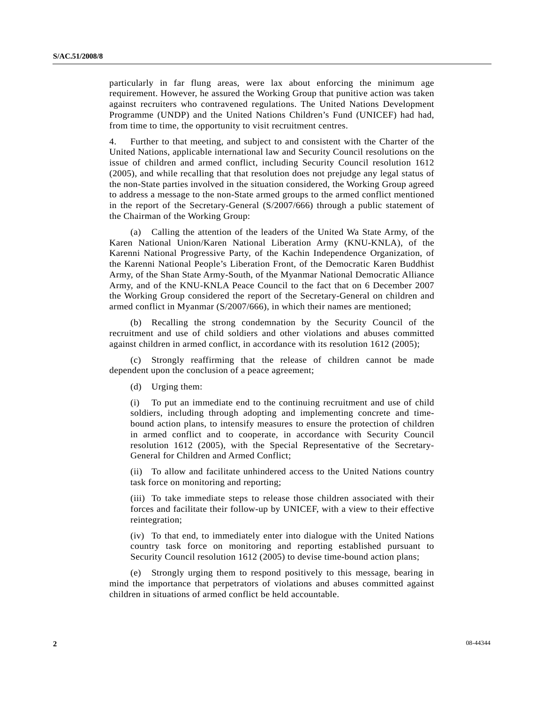particularly in far flung areas, were lax about enforcing the minimum age requirement. However, he assured the Working Group that punitive action was taken against recruiters who contravened regulations. The United Nations Development Programme (UNDP) and the United Nations Children's Fund (UNICEF) had had, from time to time, the opportunity to visit recruitment centres.

4. Further to that meeting, and subject to and consistent with the Charter of the United Nations, applicable international law and Security Council resolutions on the issue of children and armed conflict, including Security Council resolution 1612 (2005), and while recalling that that resolution does not prejudge any legal status of the non-State parties involved in the situation considered, the Working Group agreed to address a message to the non-State armed groups to the armed conflict mentioned in the report of the Secretary-General (S/2007/666) through a public statement of the Chairman of the Working Group:

 (a) Calling the attention of the leaders of the United Wa State Army, of the Karen National Union/Karen National Liberation Army (KNU-KNLA), of the Karenni National Progressive Party, of the Kachin Independence Organization, of the Karenni National People's Liberation Front, of the Democratic Karen Buddhist Army, of the Shan State Army-South, of the Myanmar National Democratic Alliance Army, and of the KNU-KNLA Peace Council to the fact that on 6 December 2007 the Working Group considered the report of the Secretary-General on children and armed conflict in Myanmar (S/2007/666), in which their names are mentioned;

 (b) Recalling the strong condemnation by the Security Council of the recruitment and use of child soldiers and other violations and abuses committed against children in armed conflict, in accordance with its resolution 1612 (2005);

 (c) Strongly reaffirming that the release of children cannot be made dependent upon the conclusion of a peace agreement;

(d) Urging them:

 (i) To put an immediate end to the continuing recruitment and use of child soldiers, including through adopting and implementing concrete and timebound action plans, to intensify measures to ensure the protection of children in armed conflict and to cooperate, in accordance with Security Council resolution 1612 (2005), with the Special Representative of the Secretary-General for Children and Armed Conflict;

 (ii) To allow and facilitate unhindered access to the United Nations country task force on monitoring and reporting;

 (iii) To take immediate steps to release those children associated with their forces and facilitate their follow-up by UNICEF, with a view to their effective reintegration;

 (iv) To that end, to immediately enter into dialogue with the United Nations country task force on monitoring and reporting established pursuant to Security Council resolution 1612 (2005) to devise time-bound action plans;

 (e) Strongly urging them to respond positively to this message, bearing in mind the importance that perpetrators of violations and abuses committed against children in situations of armed conflict be held accountable.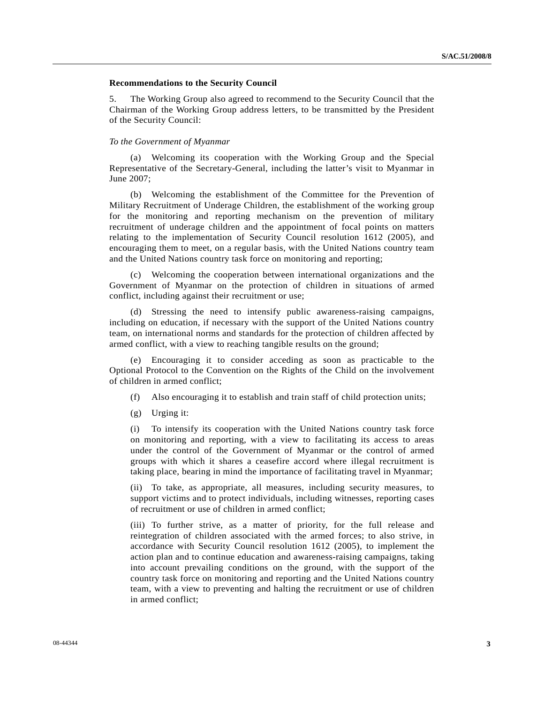### **Recommendations to the Security Council**

5. The Working Group also agreed to recommend to the Security Council that the Chairman of the Working Group address letters, to be transmitted by the President of the Security Council:

### *To the Government of Myanmar*

 (a) Welcoming its cooperation with the Working Group and the Special Representative of the Secretary-General, including the latter's visit to Myanmar in June 2007;

 (b) Welcoming the establishment of the Committee for the Prevention of Military Recruitment of Underage Children, the establishment of the working group for the monitoring and reporting mechanism on the prevention of military recruitment of underage children and the appointment of focal points on matters relating to the implementation of Security Council resolution 1612 (2005), and encouraging them to meet, on a regular basis, with the United Nations country team and the United Nations country task force on monitoring and reporting;

 (c) Welcoming the cooperation between international organizations and the Government of Myanmar on the protection of children in situations of armed conflict, including against their recruitment or use;

 (d) Stressing the need to intensify public awareness-raising campaigns, including on education, if necessary with the support of the United Nations country team, on international norms and standards for the protection of children affected by armed conflict, with a view to reaching tangible results on the ground;

 (e) Encouraging it to consider acceding as soon as practicable to the Optional Protocol to the Convention on the Rights of the Child on the involvement of children in armed conflict;

- (f) Also encouraging it to establish and train staff of child protection units;
- (g) Urging it:

 (i) To intensify its cooperation with the United Nations country task force on monitoring and reporting, with a view to facilitating its access to areas under the control of the Government of Myanmar or the control of armed groups with which it shares a ceasefire accord where illegal recruitment is taking place, bearing in mind the importance of facilitating travel in Myanmar;

 (ii) To take, as appropriate, all measures, including security measures, to support victims and to protect individuals, including witnesses, reporting cases of recruitment or use of children in armed conflict;

 (iii) To further strive, as a matter of priority, for the full release and reintegration of children associated with the armed forces; to also strive, in accordance with Security Council resolution 1612 (2005), to implement the action plan and to continue education and awareness-raising campaigns, taking into account prevailing conditions on the ground, with the support of the country task force on monitoring and reporting and the United Nations country team, with a view to preventing and halting the recruitment or use of children in armed conflict;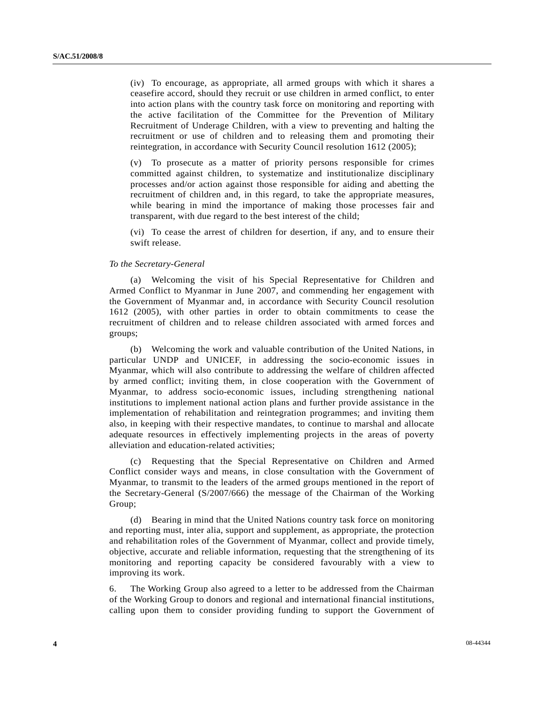(iv) To encourage, as appropriate, all armed groups with which it shares a ceasefire accord, should they recruit or use children in armed conflict, to enter into action plans with the country task force on monitoring and reporting with the active facilitation of the Committee for the Prevention of Military Recruitment of Underage Children, with a view to preventing and halting the recruitment or use of children and to releasing them and promoting their reintegration, in accordance with Security Council resolution 1612 (2005);

 (v) To prosecute as a matter of priority persons responsible for crimes committed against children, to systematize and institutionalize disciplinary processes and/or action against those responsible for aiding and abetting the recruitment of children and, in this regard, to take the appropriate measures, while bearing in mind the importance of making those processes fair and transparent, with due regard to the best interest of the child;

 (vi) To cease the arrest of children for desertion, if any, and to ensure their swift release.

#### *To the Secretary-General*

 (a) Welcoming the visit of his Special Representative for Children and Armed Conflict to Myanmar in June 2007, and commending her engagement with the Government of Myanmar and, in accordance with Security Council resolution 1612 (2005), with other parties in order to obtain commitments to cease the recruitment of children and to release children associated with armed forces and groups;

 (b) Welcoming the work and valuable contribution of the United Nations, in particular UNDP and UNICEF, in addressing the socio-economic issues in Myanmar, which will also contribute to addressing the welfare of children affected by armed conflict; inviting them, in close cooperation with the Government of Myanmar, to address socio-economic issues, including strengthening national institutions to implement national action plans and further provide assistance in the implementation of rehabilitation and reintegration programmes; and inviting them also, in keeping with their respective mandates, to continue to marshal and allocate adequate resources in effectively implementing projects in the areas of poverty alleviation and education-related activities;

 (c) Requesting that the Special Representative on Children and Armed Conflict consider ways and means, in close consultation with the Government of Myanmar, to transmit to the leaders of the armed groups mentioned in the report of the Secretary-General (S/2007/666) the message of the Chairman of the Working Group;

 (d) Bearing in mind that the United Nations country task force on monitoring and reporting must, inter alia, support and supplement, as appropriate, the protection and rehabilitation roles of the Government of Myanmar, collect and provide timely, objective, accurate and reliable information, requesting that the strengthening of its monitoring and reporting capacity be considered favourably with a view to improving its work.

6. The Working Group also agreed to a letter to be addressed from the Chairman of the Working Group to donors and regional and international financial institutions, calling upon them to consider providing funding to support the Government of